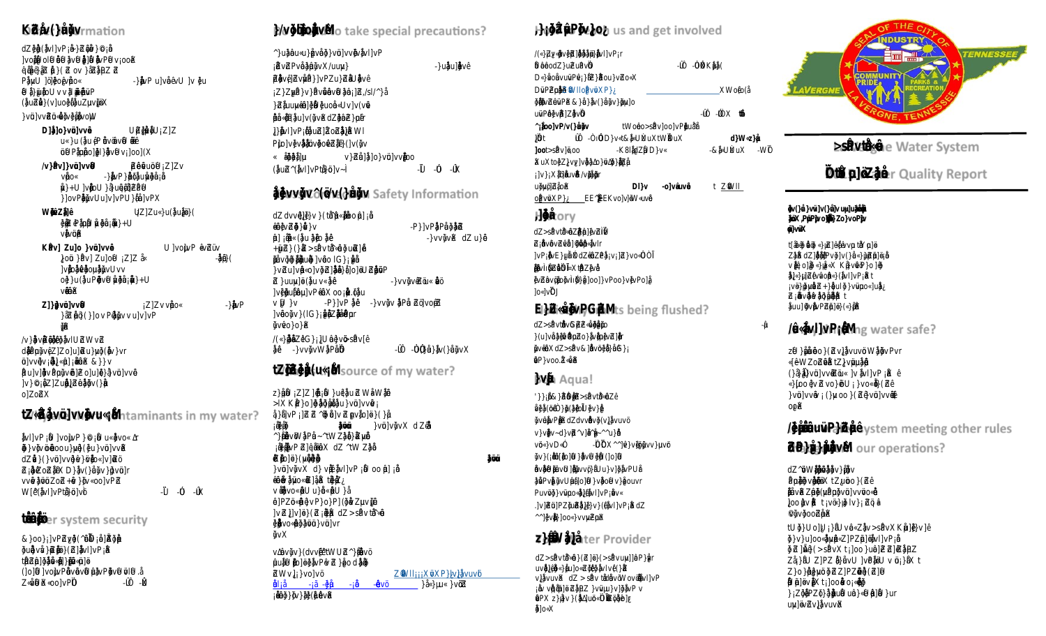